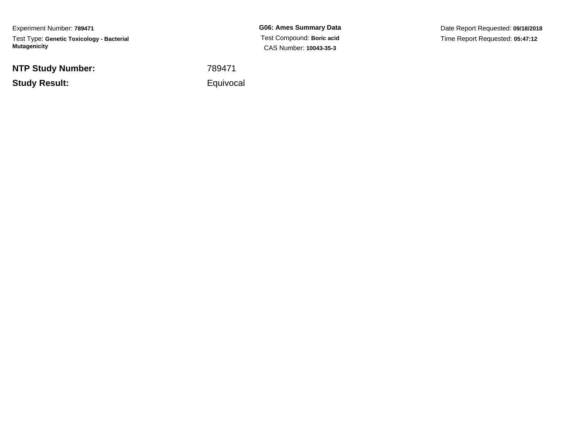Experiment Number: **789471**Test Type: **Genetic Toxicology - Bacterial Mutagenicity**

**NTP Study Number:**

**Study Result:**

**G06: Ames Summary Data** Test Compound: **Boric acid**CAS Number: **10043-35-3**

Date Report Requested: **09/18/2018**Time Report Requested: **05:47:12**

<sup>789471</sup>

Equivocal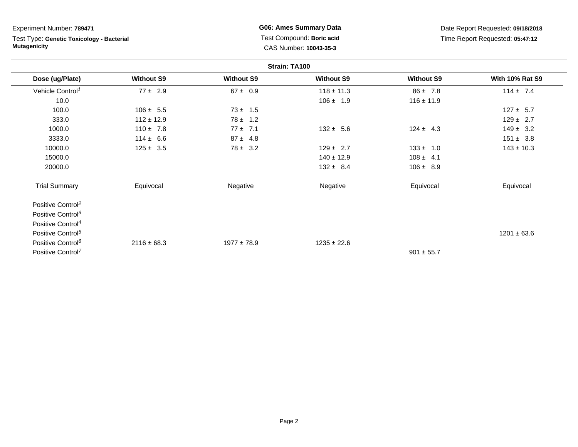Test Type: **Genetic Toxicology - Bacterial Mutagenicity**

**G06: Ames Summary Data** Test Compound: **Boric acid**CAS Number: **10043-35-3**

|                               |                   |                   | Strain: TA100     |                   |                        |
|-------------------------------|-------------------|-------------------|-------------------|-------------------|------------------------|
| Dose (ug/Plate)               | <b>Without S9</b> | <b>Without S9</b> | <b>Without S9</b> | <b>Without S9</b> | <b>With 10% Rat S9</b> |
| Vehicle Control <sup>1</sup>  | $77 \pm 2.9$      | $67 \pm 0.9$      | $118 \pm 11.3$    | $86 \pm 7.8$      | $114 \pm 7.4$          |
| 10.0                          |                   |                   | $106 \pm 1.9$     | $116 \pm 11.9$    |                        |
| 100.0                         | $106 \pm 5.5$     | $73 \pm 1.5$      |                   |                   | $127 \pm 5.7$          |
| 333.0                         | $112 \pm 12.9$    | $78 \pm 1.2$      |                   |                   | $129 \pm 2.7$          |
| 1000.0                        | $110 \pm 7.8$     | $77 \pm 7.1$      | $132 \pm 5.6$     | $124 \pm 4.3$     | $149 \pm 3.2$          |
| 3333.0                        | $114 \pm 6.6$     | $87 \pm 4.8$      |                   |                   | $151 \pm 3.8$          |
| 10000.0                       | $125 \pm 3.5$     | $78 \pm 3.2$      | $129 \pm 2.7$     | $133 \pm 1.0$     | $143 \pm 10.3$         |
| 15000.0                       |                   |                   | $140 \pm 12.9$    | $108 \pm 4.1$     |                        |
| 20000.0                       |                   |                   | $132 \pm 8.4$     | $106 \pm 8.9$     |                        |
| <b>Trial Summary</b>          | Equivocal         | Negative          | Negative          | Equivocal         | Equivocal              |
| Positive Control <sup>2</sup> |                   |                   |                   |                   |                        |
| Positive Control <sup>3</sup> |                   |                   |                   |                   |                        |
| Positive Control <sup>4</sup> |                   |                   |                   |                   |                        |
| Positive Control <sup>5</sup> |                   |                   |                   |                   | $1201 \pm 63.6$        |
| Positive Control <sup>6</sup> | $2116 \pm 68.3$   | $1977 \pm 78.9$   | $1235 \pm 22.6$   |                   |                        |
| Positive Control <sup>7</sup> |                   |                   |                   | $901 \pm 55.7$    |                        |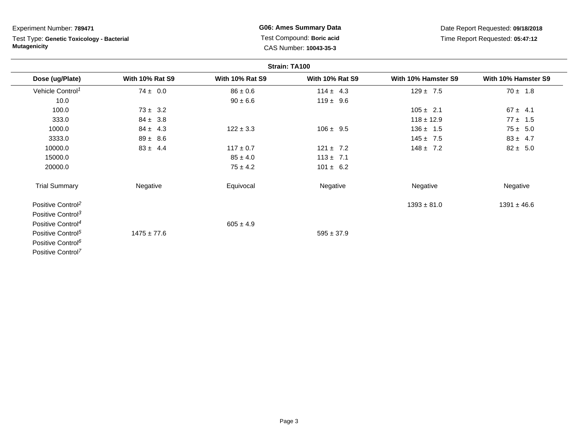Test Type: **Genetic Toxicology - Bacterial Mutagenicity**

**G06: Ames Summary Data** Test Compound: **Boric acid**CAS Number: **10043-35-3**

|                               |                        |                        | Strain: TA100          |                     |                     |
|-------------------------------|------------------------|------------------------|------------------------|---------------------|---------------------|
| Dose (ug/Plate)               | <b>With 10% Rat S9</b> | <b>With 10% Rat S9</b> | <b>With 10% Rat S9</b> | With 10% Hamster S9 | With 10% Hamster S9 |
| Vehicle Control <sup>1</sup>  | $74 \pm 0.0$           | $86 \pm 0.6$           | $114 \pm 4.3$          | $129 \pm 7.5$       | $70 \pm 1.8$        |
| 10.0                          |                        | $90 \pm 6.6$           | $119 \pm 9.6$          |                     |                     |
| 100.0                         | $73 \pm 3.2$           |                        |                        | $105 \pm 2.1$       | $67 \pm 4.1$        |
| 333.0                         | $84 \pm 3.8$           |                        |                        | $118 \pm 12.9$      | $77 \pm 1.5$        |
| 1000.0                        | $84 \pm 4.3$           | $122 \pm 3.3$          | $106 \pm 9.5$          | $136 \pm 1.5$       | $75 \pm 5.0$        |
| 3333.0                        | $89 \pm 8.6$           |                        |                        | $145 \pm 7.5$       | $83 \pm 4.7$        |
| 10000.0                       | $83 \pm 4.4$           | $117 \pm 0.7$          | $121 \pm 7.2$          | $148 \pm 7.2$       | $82 \pm 5.0$        |
| 15000.0                       |                        | $85 \pm 4.0$           | $113 \pm 7.1$          |                     |                     |
| 20000.0                       |                        | $75 \pm 4.2$           | $101 \pm 6.2$          |                     |                     |
| <b>Trial Summary</b>          | Negative               | Equivocal              | Negative               | Negative            | Negative            |
| Positive Control <sup>2</sup> |                        |                        |                        | $1393 \pm 81.0$     | $1391 \pm 46.6$     |
| Positive Control <sup>3</sup> |                        |                        |                        |                     |                     |
| Positive Control <sup>4</sup> |                        | $605 \pm 4.9$          |                        |                     |                     |
| Positive Control <sup>5</sup> | $1475 \pm 77.6$        |                        | $595 \pm 37.9$         |                     |                     |
| Positive Control <sup>6</sup> |                        |                        |                        |                     |                     |
| Positive Control <sup>7</sup> |                        |                        |                        |                     |                     |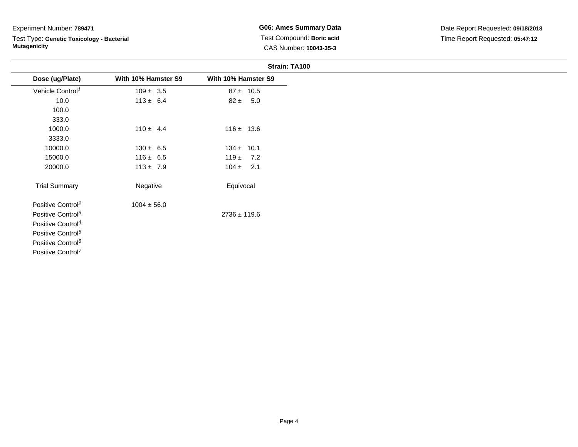Test Type: **Genetic Toxicology - Bacterial Mutagenicity**

**G06: Ames Summary Data** Test Compound: **Boric acid**CAS Number: **10043-35-3**

|                               |                     | Strain: TA100       |
|-------------------------------|---------------------|---------------------|
| Dose (ug/Plate)               | With 10% Hamster S9 | With 10% Hamster S9 |
| Vehicle Control <sup>1</sup>  | $109 \pm 3.5$       | $87 \pm 10.5$       |
| 10.0                          | $113 \pm 6.4$       | $82 \pm 5.0$        |
| 100.0                         |                     |                     |
| 333.0                         |                     |                     |
| 1000.0                        | $110 \pm 4.4$       | $116 \pm 13.6$      |
| 3333.0                        |                     |                     |
| 10000.0                       | $130 \pm 6.5$       | $134 \pm 10.1$      |
| 15000.0                       | $116 \pm 6.5$       | $119 \pm 7.2$       |
| 20000.0                       | $113 \pm 7.9$       | $104 \pm 2.1$       |
| <b>Trial Summary</b>          | Negative            | Equivocal           |
| Positive Control <sup>2</sup> | $1004 \pm 56.0$     |                     |
| Positive Control <sup>3</sup> |                     | $2736 \pm 119.6$    |
| Positive Control <sup>4</sup> |                     |                     |
| Positive Control <sup>5</sup> |                     |                     |
| Positive Control <sup>6</sup> |                     |                     |

Positive Control<sup>7</sup>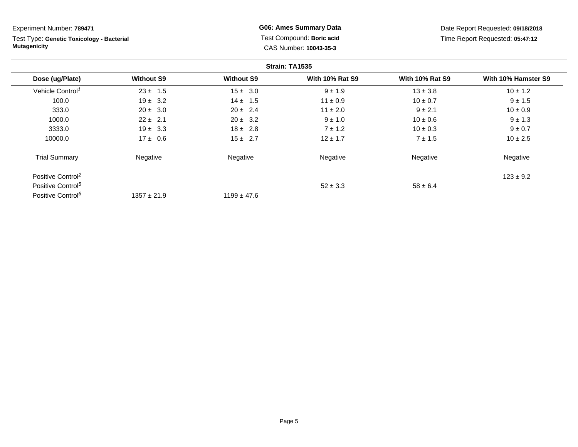Test Type: **Genetic Toxicology - Bacterial Mutagenicity**

**G06: Ames Summary Data** Test Compound: **Boric acid**CAS Number: **10043-35-3**

|                               |                   |                   | Strain: TA1535         |                        |                     |
|-------------------------------|-------------------|-------------------|------------------------|------------------------|---------------------|
| Dose (ug/Plate)               | <b>Without S9</b> | <b>Without S9</b> | <b>With 10% Rat S9</b> | <b>With 10% Rat S9</b> | With 10% Hamster S9 |
| Vehicle Control <sup>1</sup>  | $23 \pm 1.5$      | $15 \pm 3.0$      | $9 \pm 1.9$            | $13 \pm 3.8$           | $10 \pm 1.2$        |
| 100.0                         | $19 \pm 3.2$      | $14 \pm 1.5$      | $11 \pm 0.9$           | $10 \pm 0.7$           | $9 \pm 1.5$         |
| 333.0                         | $20 \pm 3.0$      | $20 \pm 2.4$      | $11 \pm 2.0$           | $9 \pm 2.1$            | $10 \pm 0.9$        |
| 1000.0                        | $22 \pm 2.1$      | $20 \pm 3.2$      | $9 \pm 1.0$            | $10 \pm 0.6$           | $9 \pm 1.3$         |
| 3333.0                        | $19 \pm 3.3$      | $18 \pm 2.8$      | $7 \pm 1.2$            | $10 \pm 0.3$           | $9 \pm 0.7$         |
| 10000.0                       | $17 \pm 0.6$      | $15 \pm 2.7$      | $12 \pm 1.7$           | $7 \pm 1.5$            | $10 \pm 2.5$        |
| <b>Trial Summary</b>          | Negative          | Negative          | Negative               | Negative               | Negative            |
| Positive Control <sup>2</sup> |                   |                   |                        |                        | $123 \pm 9.2$       |
| Positive Control <sup>5</sup> |                   |                   | $52 \pm 3.3$           | $58 \pm 6.4$           |                     |
| Positive Control <sup>6</sup> | $1357 \pm 21.9$   | $1199 \pm 47.6$   |                        |                        |                     |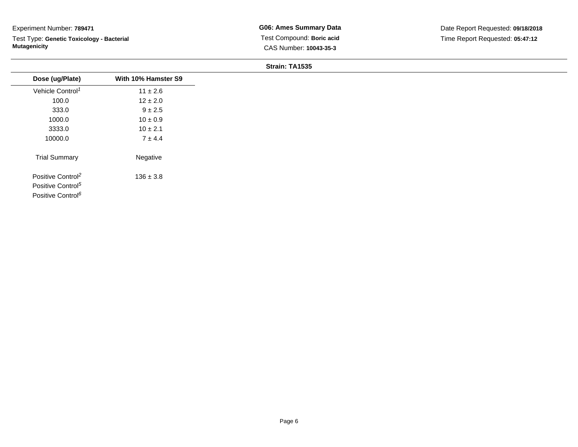Test Type: **Genetic Toxicology - Bacterial Mutagenicity**

**G06: Ames Summary Data** Test Compound: **Boric acid**CAS Number: **10043-35-3**

### **Strain: TA1535**

| Dose (ug/Plate)               | With 10% Hamster S9 |
|-------------------------------|---------------------|
| Vehicle Control <sup>1</sup>  | $11 \pm 2.6$        |
| 100.0                         | $12 \pm 2.0$        |
| 333.0                         | $9 \pm 2.5$         |
| 1000.0                        | $10 \pm 0.9$        |
| 3333.0                        | $10 \pm 2.1$        |
| 10000.0                       | $7 \pm 4.4$         |
| <b>Trial Summary</b>          | Negative            |
| Positive Control <sup>2</sup> | $136 \pm 3.8$       |
| Positive Control <sup>5</sup> |                     |
| Positive Control <sup>6</sup> |                     |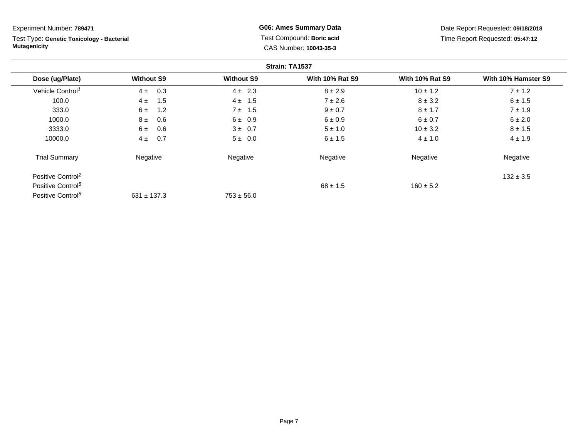Test Type: **Genetic Toxicology - Bacterial Mutagenicity**

**G06: Ames Summary Data** Test Compound: **Boric acid**CAS Number: **10043-35-3**

|                               |                   |                   | Strain: TA1537         |                        |                     |
|-------------------------------|-------------------|-------------------|------------------------|------------------------|---------------------|
| Dose (ug/Plate)               | <b>Without S9</b> | <b>Without S9</b> | <b>With 10% Rat S9</b> | <b>With 10% Rat S9</b> | With 10% Hamster S9 |
| Vehicle Control <sup>1</sup>  | 0.3<br>4±         | $4 \pm 2.3$       | $8 \pm 2.9$            | $10 \pm 1.2$           | $7 \pm 1.2$         |
| 100.0                         | 1.5<br>$4 \pm$    | $4 \pm 1.5$       | $7 \pm 2.6$            | $8 \pm 3.2$            | $6 \pm 1.5$         |
| 333.0                         | 6±<br>1.2         | $7 \pm 1.5$       | $9 \pm 0.7$            | $8 \pm 1.7$            | $7 \pm 1.9$         |
| 1000.0                        | $8 \pm$<br>0.6    | 6 ± 0.9           | $6 \pm 0.9$            | $6 \pm 0.7$            | $6 \pm 2.0$         |
| 3333.0                        | 6±<br>0.6         | $3 \pm 0.7$       | $5 \pm 1.0$            | $10 \pm 3.2$           | $8 \pm 1.5$         |
| 10000.0                       | 0.7<br>$4\pm$     | $5 \pm 0.0$       | 6 ± 1.5                | $4 \pm 1.0$            | $4 \pm 1.9$         |
| <b>Trial Summary</b>          | Negative          | Negative          | Negative               | Negative               | Negative            |
| Positive Control <sup>2</sup> |                   |                   |                        |                        | $132 \pm 3.5$       |
| Positive Control <sup>5</sup> |                   |                   | $68 \pm 1.5$           | $160 \pm 5.2$          |                     |
| Positive Control <sup>8</sup> | $631 \pm 137.3$   | $753 \pm 56.0$    |                        |                        |                     |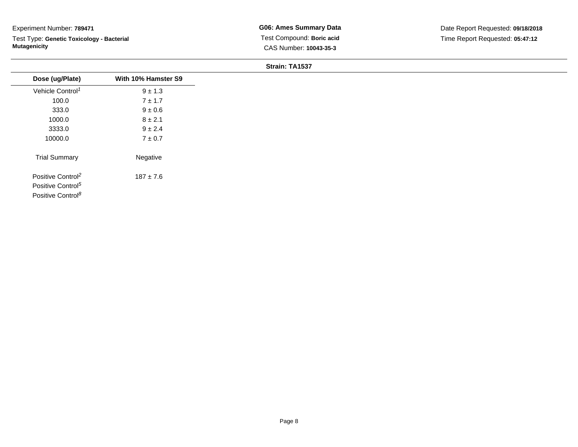Test Type: **Genetic Toxicology - Bacterial Mutagenicity**

**G06: Ames Summary Data** Test Compound: **Boric acid**CAS Number: **10043-35-3**

### **Strain: TA1537**

| Dose (ug/Plate)                                                                                 | With 10% Hamster S9 |
|-------------------------------------------------------------------------------------------------|---------------------|
| Vehicle Control <sup>1</sup>                                                                    | $9 \pm 1.3$         |
| 100.0                                                                                           | $7 \pm 1.7$         |
| 333.0                                                                                           | $9 \pm 0.6$         |
| 1000.0                                                                                          | $8 \pm 2.1$         |
| 3333.0                                                                                          | $9 \pm 2.4$         |
| 10000.0                                                                                         | $7\pm0.7$           |
| <b>Trial Summary</b>                                                                            | Negative            |
| Positive Control <sup>2</sup><br>Positive Control <sup>5</sup><br>Positive Control <sup>8</sup> | $187 \pm 7.6$       |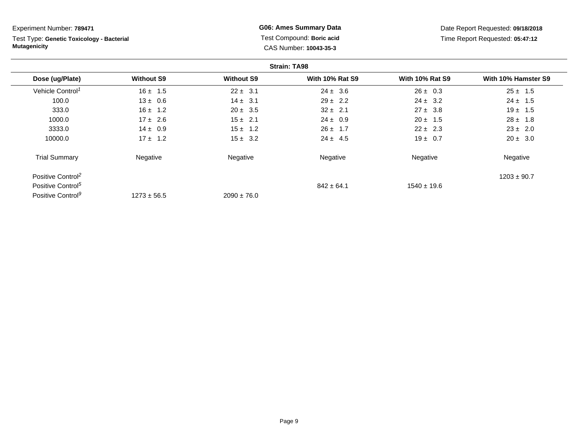Test Type: **Genetic Toxicology - Bacterial Mutagenicity**

**G06: Ames Summary Data** Test Compound: **Boric acid**CAS Number: **10043-35-3**

|                               |                   |                   | <b>Strain: TA98</b>    |                        |                     |
|-------------------------------|-------------------|-------------------|------------------------|------------------------|---------------------|
| Dose (ug/Plate)               | <b>Without S9</b> | <b>Without S9</b> | <b>With 10% Rat S9</b> | <b>With 10% Rat S9</b> | With 10% Hamster S9 |
| Vehicle Control <sup>1</sup>  | $16 \pm 1.5$      | $22 \pm 3.1$      | $24 \pm 3.6$           | $26 \pm 0.3$           | $25 \pm 1.5$        |
| 100.0                         | $13 \pm 0.6$      | $14 \pm 3.1$      | $29 \pm 2.2$           | $24 \pm 3.2$           | $24 \pm 1.5$        |
| 333.0                         | $16 \pm 1.2$      | $20 \pm 3.5$      | $32 \pm 2.1$           | $27 \pm 3.8$           | $19 \pm 1.5$        |
| 1000.0                        | $17 \pm 2.6$      | $15 \pm 2.1$      | $24 \pm 0.9$           | $20 \pm 1.5$           | $28 \pm 1.8$        |
| 3333.0                        | $14 \pm 0.9$      | $15 \pm 1.2$      | $26 \pm 1.7$           | $22 \pm 2.3$           | $23 \pm 2.0$        |
| 10000.0                       | $17 \pm 1.2$      | $15 \pm 3.2$      | $24 \pm 4.5$           | $19 \pm 0.7$           | $20 \pm 3.0$        |
| <b>Trial Summary</b>          | Negative          | Negative          | Negative               | Negative               | Negative            |
| Positive Control <sup>2</sup> |                   |                   |                        |                        | $1203 \pm 90.7$     |
| Positive Control <sup>5</sup> |                   |                   | $842 \pm 64.1$         | $1540 \pm 19.6$        |                     |
| Positive Control <sup>9</sup> | $1273 \pm 56.5$   | $2090 \pm 76.0$   |                        |                        |                     |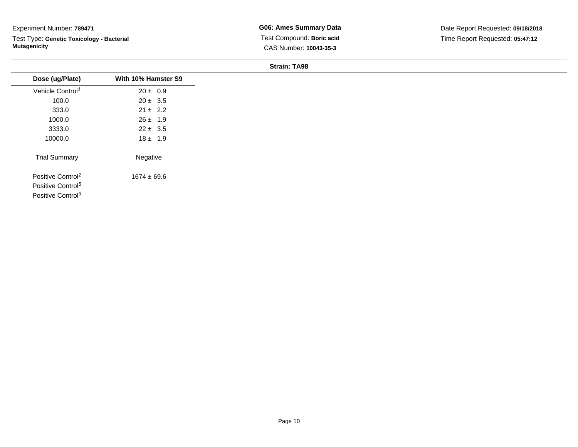Test Type: **Genetic Toxicology - Bacterial Mutagenicity**

**G06: Ames Summary Data** Test Compound: **Boric acid**CAS Number: **10043-35-3**

**Strain: TA98**

| Dose (ug/Plate)               | With 10% Hamster S9 |
|-------------------------------|---------------------|
| Vehicle Control <sup>1</sup>  | $20 \pm 0.9$        |
| 100.0                         | $20 \pm 3.5$        |
| 333.0                         | $21 \pm 2.2$        |
| 1000.0                        | $26 \pm 1.9$        |
| 3333.0                        | $22 \pm 3.5$        |
| 10000.0                       | $18 \pm 1.9$        |
| <b>Trial Summary</b>          | Negative            |
| Positive Control <sup>2</sup> | $1674 \pm 69.6$     |
| Positive Control <sup>5</sup> |                     |
| Positive Control <sup>9</sup> |                     |
|                               |                     |